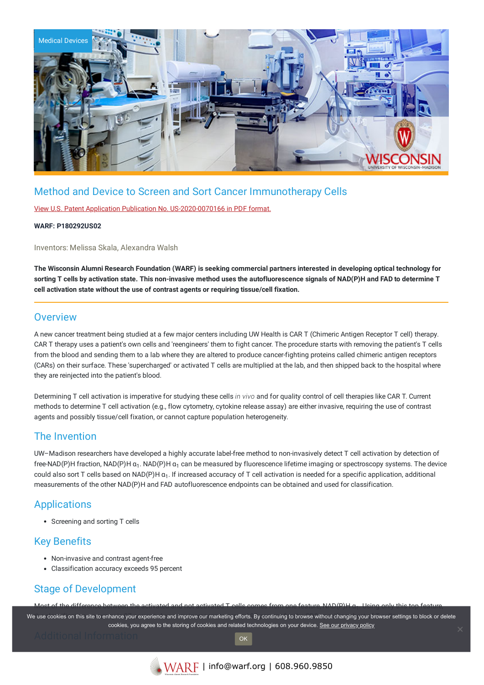

# Method and Device to Screen and Sort Cancer Immunotherapy Cells

View U.S. Patent Application Publication No. [US-2020-0070166](https://www.warf.org/wp-content/uploads/technologies/pubapps/P180292US02-Published-Application.pdf) in PDF format.

#### **WARF: P180292US02**

Inventors: Melissa Skala, Alexandra Walsh

The Wisconsin Alumni Research Foundation (WARF) is seeking commercial partners interested in developing optical technology for sorting T cells by activation state. This non-invasive method uses the autofluorescence signals of NAD(P)H and FAD to determine T **cell activation state without the use of contrast agents or requiring tissue/cell fixation.**

## **Overview**

A new cancer treatment being studied at a few major centers including UW Health is CAR T (Chimeric Antigen Receptor T cell) therapy. CAR T therapy uses a patient's own cells and 'reengineers' them to fight cancer. The procedure starts with removing the patient's T cells from the blood and sending them to a lab where they are altered to produce cancer-fighting proteins called chimeric antigen receptors (CARs) on their surface. These 'supercharged' or activated T cells are multiplied at the lab, and then shipped back to the hospital where they are reinjected into the patient's blood.

Determining T cell activation is imperative for studying these cells *in vivo* and for quality control of cell therapies like CAR T. Current methods to determine T cell activation (e.g., flow cytometry, cytokine release assay) are either invasive, requiring the use of contrast agents and possibly tissue/cell fixation, or cannot capture population heterogeneity.

## The Invention

UW–Madison researchers have developed a highly accurate label-free method to non-invasively detect T cell activation by detection of free-NAD(P)H fraction, NAD(P)H α<sub>1</sub>. NAD(P)H α<sub>1</sub> can be measured by fluorescence lifetime imaging or spectroscopy systems. The device could also sort T cells based on NAD(P)H  $\mathfrak{a}_1$ . If increased accuracy of T cell activation is needed for a specific application, additional measurements of the other NAD(P)H and FAD autofluorescence endpoints can be obtained and used for classification.

# **Applications**

• Screening and sorting T cells

## Key Benefits

- Non-invasive and contrast agent-free
- Classification accuracy exceeds 95 percent

# Stage of Development

Most of the difference between the activated and not activated T cells comes from one feature, NAD(P)H α . Using only this top feature, 1

We use cookies on this site to enhance your experience and improve our marketing efforts. By continuing to browse without changing your browser settings to block or delete cookies, you agree to the storing of cookies and related technologies on your device. [See our privacy policy](https://www.warf.org/privacy-policy/)

OK